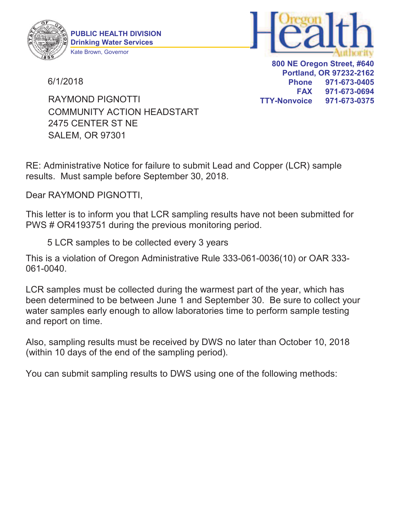



6/1/2018

**800 NE Oregon Street, #640 Portland, OR 97232-2162 Phone 971-673-0405 FAX 971-673-0694 TTY-Nonvoice 971-673-0375**

2475 CENTER ST NE SALEM, OR 97301 COMMUNITY ACTION HEADSTART RAYMOND PIGNOTTI

RE: Administrative Notice for failure to submit Lead and Copper (LCR) sample results. Must sample before September 30, 2018.

Dear RAYMOND PIGNOTTI,

This letter is to inform you that LCR sampling results have not been submitted for PWS # OR4193751 during the previous monitoring period.

5 LCR samples to be collected every 3 years

This is a violation of Oregon Administrative Rule 333-061-0036(10) or OAR 333- 061-0040.

LCR samples must be collected during the warmest part of the year, which has been determined to be between June 1 and September 30. Be sure to collect your water samples early enough to allow laboratories time to perform sample testing and report on time.

Also, sampling results must be received by DWS no later than October 10, 2018 (within 10 days of the end of the sampling period).

You can submit sampling results to DWS using one of the following methods: